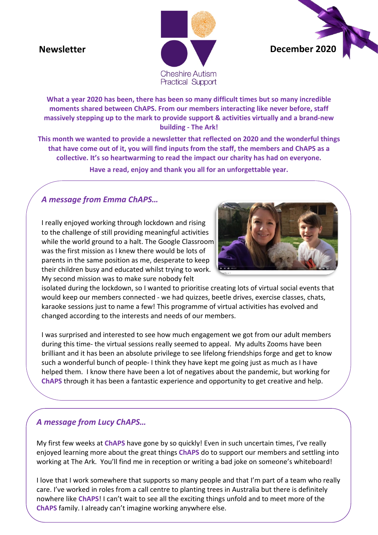## **Newsletter**





**What a year 2020 has been, there has been so many difficult times but so many incredible moments shared between ChAPS. From our members interacting like never before, staff massively stepping up to the mark to provide support & activities virtually and a brand-new building - The Ark!**

**This month we wanted to provide a newsletter that reflected on 2020 and the wonderful things that have come out of it, you will find inputs from the staff, the members and ChAPS as a collective. It's so heartwarming to read the impact our charity has had on everyone.**

**Have a read, enjoy and thank you all for an unforgettable year.**

### *A message from Emma ChAPS…*

I really enjoyed working through lockdown and rising to the challenge of still providing meaningful activities while the world ground to a halt. The Google Classroom was the first mission as I knew there would be lots of parents in the same position as me, desperate to keep their children busy and educated whilst trying to work. My second mission was to make sure nobody felt



isolated during the lockdown, so I wanted to prioritise creating lots of virtual social events that would keep our members connected - we had quizzes, beetle drives, exercise classes, chats, karaoke sessions just to name a few! This programme of virtual activities has evolved and changed according to the interests and needs of our members.

I was surprised and interested to see how much engagement we got from our adult members during this time- the virtual sessions really seemed to appeal. My adults Zooms have been brilliant and it has been an absolute privilege to see lifelong friendships forge and get to know such a wonderful bunch of people- I think they have kept me going just as much as I have helped them. I know there have been a lot of negatives about the pandemic, but working for **ChAPS** through it has been a fantastic experience and opportunity to get creative and help.

#### *A message from Lucy ChAPS…*

My first few weeks at **ChAPS** have gone by so quickly! Even in such uncertain times, I've really enjoyed learning more about the great things **ChAPS** do to support our members and settling into working at The Ark. You'll find me in reception or writing a bad joke on someone's whiteboard!

I love that I work somewhere that supports so many people and that I'm part of a team who really care. I've worked in roles from a call centre to planting trees in Australia but there is definitely nowhere like **ChAPS**! I can't wait to see all the exciting things unfold and to meet more of the **ChAPS** family. I already can't imagine working anywhere else.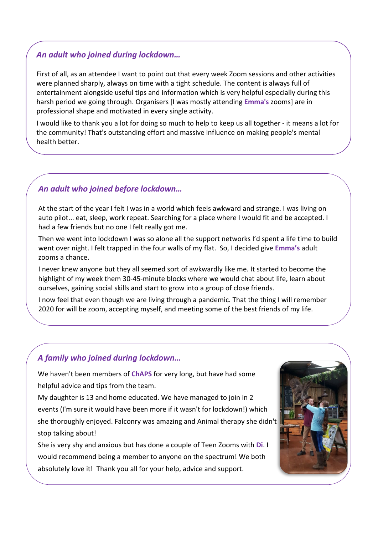#### *An adult who joined during lockdown…*

First of all, as an attendee I want to point out that every week Zoom sessions and other activities were planned sharply, always on time with a tight schedule. The content is always full of entertainment alongside useful tips and information which is very helpful especially during this harsh period we going through. Organisers [I was mostly attending **Emma's** zooms] are in professional shape and motivated in every single activity.

I would like to thank you a lot for doing so much to help to keep us all together - it means a lot for the community! That's outstanding effort and massive influence on making people's mental health better.

#### *An adult who joined before lockdown…*

At the start of the year I felt I was in a world which feels awkward and strange. I was living on auto pilot... eat, sleep, work repeat. Searching for a place where I would fit and be accepted. I had a few friends but no one I felt really got me.

Then we went into lockdown I was so alone all the support networks I'd spent a life time to build went over night. I felt trapped in the four walls of my flat. So, I decided give **Emma's** adult zooms a chance.

I never knew anyone but they all seemed sort of awkwardly like me. It started to become the highlight of my week them 30-45-minute blocks where we would chat about life, learn about ourselves, gaining social skills and start to grow into a group of close friends.

I now feel that even though we are living through a pandemic. That the thing I will remember 2020 for will be zoom, accepting myself, and meeting some of the best friends of my life.

#### *A family who joined during lockdown…*

We haven't been members of **ChAPS** for very long, but have had some helpful advice and tips from the team.

**.** she thoroughly enjoyed. Falconry was amazing and Animal therapy she didn't My daughter is 13 and home educated. We have managed to join in 2 events (I'm sure it would have been more if it wasn't for lockdown!) which stop talking about!

She is very shy and anxious but has done a couple of Teen Zooms with **Di**. I would recommend being a member to anyone on the spectrum! We both absolutely love it! Thank you all for your help, advice and support.

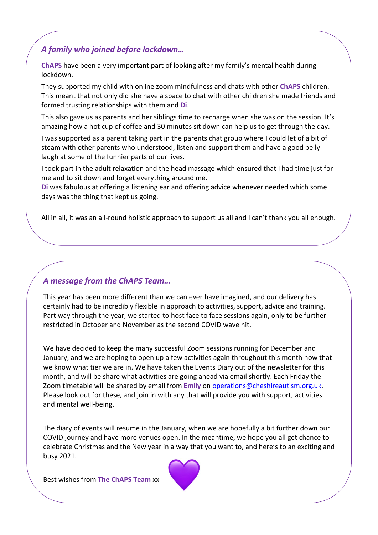#### *A family who joined before lockdown…*

**ChAPS** have been a very important part of looking after my family's mental health during lockdown.

They supported my child with online zoom mindfulness and chats with other **ChAPS** children. This meant that not only did she have a space to chat with other children she made friends and formed trusting relationships with them and **Di**.

This also gave us as parents and her siblings time to recharge when she was on the session. It's amazing how a hot cup of coffee and 30 minutes sit down can help us to get through the day.

I was supported as a parent taking part in the parents chat group where I could let of a bit of steam with other parents who understood, listen and support them and have a good belly laugh at some of the funnier parts of our lives.

I took part in the adult relaxation and the head massage which ensured that I had time just for me and to sit down and forget everything around me.

**Di** was fabulous at offering a listening ear and offering advice whenever needed which some days was the thing that kept us going.

All in all, it was an all-round holistic approach to support us all and I can't thank you all enough.

#### *A message from the ChAPS Team…*

This year has been more different than we can ever have imagined, and our delivery has certainly had to be incredibly flexible in approach to activities, support, advice and training. Part way through the year, we started to host face to face sessions again, only to be further restricted in October and November as the second COVID wave hit.

We have decided to keep the many successful Zoom sessions running for December and January, and we are hoping to open up a few activities again throughout this month now that we know what tier we are in. We have taken the Events Diary out of the newsletter for this month, and will be share what activities are going ahead via email shortly. Each Friday the Zoom timetable will be shared by email from **Emily** on [operations@cheshireautism.org.uk.](mailto:operations@cheshireautism.org.uk) Please look out for these, and join in with any that will provide you with support, activities and mental well-being.

The diary of events will resume in the January, when we are hopefully a bit further down our COVID journey and have more venues open. In the meantime, we hope you all get chance to celebrate Christmas and the New year in a way that you want to, and here's to an exciting and busy 2021.

Best wishes from **The ChAPS Team** xx